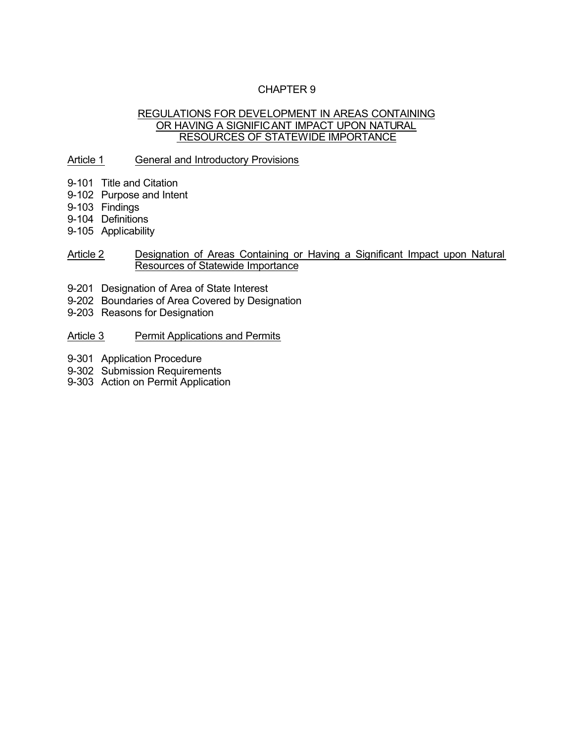# CHAPTER 9

#### REGULATIONS FOR DEVELOPMENT IN AREAS CONTAINING OR HAVING A SIGNIFICANT IMPACT UPON NATURAL RESOURCES OF STATEWIDE IMPORTANCE

### Article 1 General and Introductory Provisions

- 9-101 Title and Citation
- 9-102 Purpose and Intent
- 9-103 Findings
- 9-104 Definitions
- 9-105 Applicability

#### Article 2 Designation of Areas Containing or Having a Significant Impact upon Natural Resources of Statewide Importance

- 9-201 Designation of Area of State Interest
- 9-202 Boundaries of Area Covered by Designation
- 9-203 Reasons for Designation
- Article 3 Permit Applications and Permits
- 9-301 Application Procedure
- 9-302 Submission Requirements
- 9-303 Action on Permit Application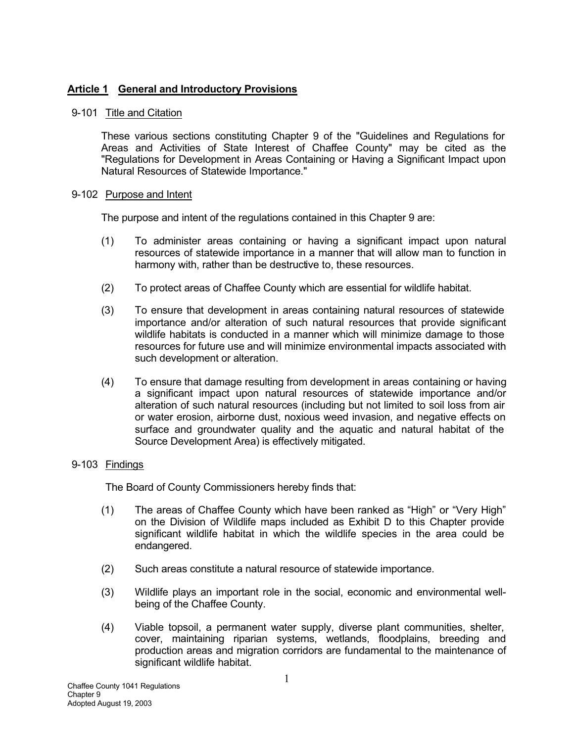# **Article 1 General and Introductory Provisions**

# 9-101 Title and Citation

These various sections constituting Chapter 9 of the "Guidelines and Regulations for Areas and Activities of State Interest of Chaffee County" may be cited as the "Regulations for Development in Areas Containing or Having a Significant Impact upon Natural Resources of Statewide Importance."

### 9-102 Purpose and Intent

The purpose and intent of the regulations contained in this Chapter 9 are:

- (1) To administer areas containing or having a significant impact upon natural resources of statewide importance in a manner that will allow man to function in harmony with, rather than be destructive to, these resources.
- (2) To protect areas of Chaffee County which are essential for wildlife habitat.
- (3) To ensure that development in areas containing natural resources of statewide importance and/or alteration of such natural resources that provide significant wildlife habitats is conducted in a manner which will minimize damage to those resources for future use and will minimize environmental impacts associated with such development or alteration.
- (4) To ensure that damage resulting from development in areas containing or having a significant impact upon natural resources of statewide importance and/or alteration of such natural resources (including but not limited to soil loss from air or water erosion, airborne dust, noxious weed invasion, and negative effects on surface and groundwater quality and the aquatic and natural habitat of the Source Development Area) is effectively mitigated.

### 9-103 Findings

The Board of County Commissioners hereby finds that:

- (1) The areas of Chaffee County which have been ranked as "High" or "Very High" on the Division of Wildlife maps included as Exhibit D to this Chapter provide significant wildlife habitat in which the wildlife species in the area could be endangered.
- (2) Such areas constitute a natural resource of statewide importance.
- (3) Wildlife plays an important role in the social, economic and environmental wellbeing of the Chaffee County.
- (4) Viable topsoil, a permanent water supply, diverse plant communities, shelter, cover, maintaining riparian systems, wetlands, floodplains, breeding and production areas and migration corridors are fundamental to the maintenance of significant wildlife habitat.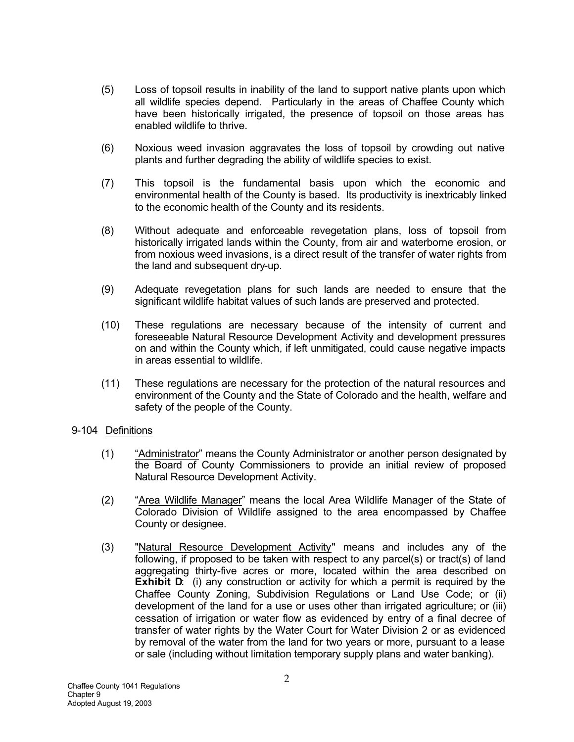- (5) Loss of topsoil results in inability of the land to support native plants upon which all wildlife species depend. Particularly in the areas of Chaffee County which have been historically irrigated, the presence of topsoil on those areas has enabled wildlife to thrive.
- (6) Noxious weed invasion aggravates the loss of topsoil by crowding out native plants and further degrading the ability of wildlife species to exist.
- (7) This topsoil is the fundamental basis upon which the economic and environmental health of the County is based. Its productivity is inextricably linked to the economic health of the County and its residents.
- (8) Without adequate and enforceable revegetation plans, loss of topsoil from historically irrigated lands within the County, from air and waterborne erosion, or from noxious weed invasions, is a direct result of the transfer of water rights from the land and subsequent dry-up.
- (9) Adequate revegetation plans for such lands are needed to ensure that the significant wildlife habitat values of such lands are preserved and protected.
- (10) These regulations are necessary because of the intensity of current and foreseeable Natural Resource Development Activity and development pressures on and within the County which, if left unmitigated, could cause negative impacts in areas essential to wildlife.
- (11) These regulations are necessary for the protection of the natural resources and environment of the County and the State of Colorado and the health, welfare and safety of the people of the County.

### 9-104 Definitions

- (1) "Administrator" means the County Administrator or another person designated by the Board of County Commissioners to provide an initial review of proposed Natural Resource Development Activity.
- (2) "Area Wildlife Manager" means the local Area Wildlife Manager of the State of Colorado Division of Wildlife assigned to the area encompassed by Chaffee County or designee.
- (3) "Natural Resource Development Activity" means and includes any of the following, if proposed to be taken with respect to any parcel(s) or tract(s) of land aggregating thirty-five acres or more, located within the area described on **Exhibit D:** (i) any construction or activity for which a permit is required by the Chaffee County Zoning, Subdivision Regulations or Land Use Code; or (ii) development of the land for a use or uses other than irrigated agriculture; or (iii) cessation of irrigation or water flow as evidenced by entry of a final decree of transfer of water rights by the Water Court for Water Division 2 or as evidenced by removal of the water from the land for two years or more, pursuant to a lease or sale (including without limitation temporary supply plans and water banking).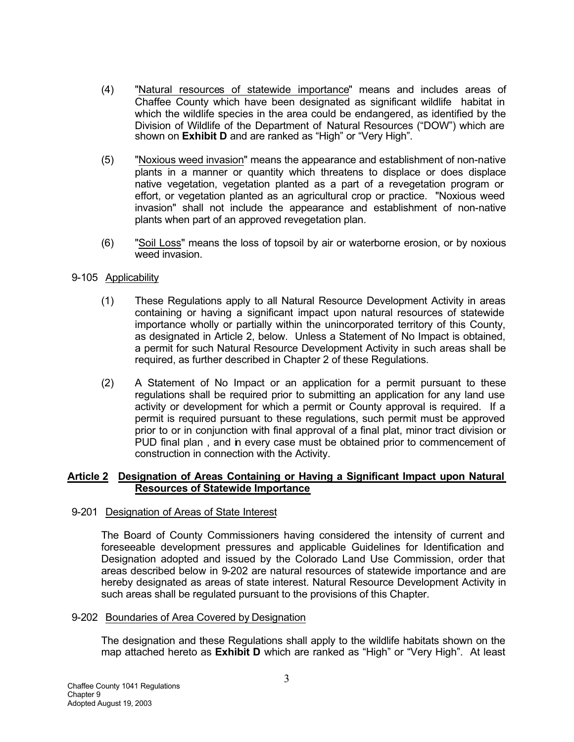- (4) "Natural resources of statewide importance" means and includes areas of Chaffee County which have been designated as significant wildlife habitat in which the wildlife species in the area could be endangered, as identified by the Division of Wildlife of the Department of Natural Resources ("DOW") which are shown on **Exhibit D** and are ranked as "High" or "Very High".
- (5) "Noxious weed invasion" means the appearance and establishment of non-native plants in a manner or quantity which threatens to displace or does displace native vegetation, vegetation planted as a part of a revegetation program or effort, or vegetation planted as an agricultural crop or practice. "Noxious weed invasion" shall not include the appearance and establishment of non-native plants when part of an approved revegetation plan.
- (6) "Soil Loss" means the loss of topsoil by air or waterborne erosion, or by noxious weed invasion.

### 9-105 Applicability

- (1) These Regulations apply to all Natural Resource Development Activity in areas containing or having a significant impact upon natural resources of statewide importance wholly or partially within the unincorporated territory of this County, as designated in Article 2, below. Unless a Statement of No Impact is obtained, a permit for such Natural Resource Development Activity in such areas shall be required, as further described in Chapter 2 of these Regulations.
- (2) A Statement of No Impact or an application for a permit pursuant to these regulations shall be required prior to submitting an application for any land use activity or development for which a permit or County approval is required. If a permit is required pursuant to these regulations, such permit must be approved prior to or in conjunction with final approval of a final plat, minor tract division or PUD final plan , and in every case must be obtained prior to commencement of construction in connection with the Activity.

#### **Article 2 Designation of Areas Containing or Having a Significant Impact upon Natural Resources of Statewide Importance**

### 9-201 Designation of Areas of State Interest

The Board of County Commissioners having considered the intensity of current and foreseeable development pressures and applicable Guidelines for Identification and Designation adopted and issued by the Colorado Land Use Commission, order that areas described below in 9-202 are natural resources of statewide importance and are hereby designated as areas of state interest. Natural Resource Development Activity in such areas shall be regulated pursuant to the provisions of this Chapter.

### 9-202 Boundaries of Area Covered by Designation

The designation and these Regulations shall apply to the wildlife habitats shown on the map attached hereto as **Exhibit D** which are ranked as "High" or "Very High". At least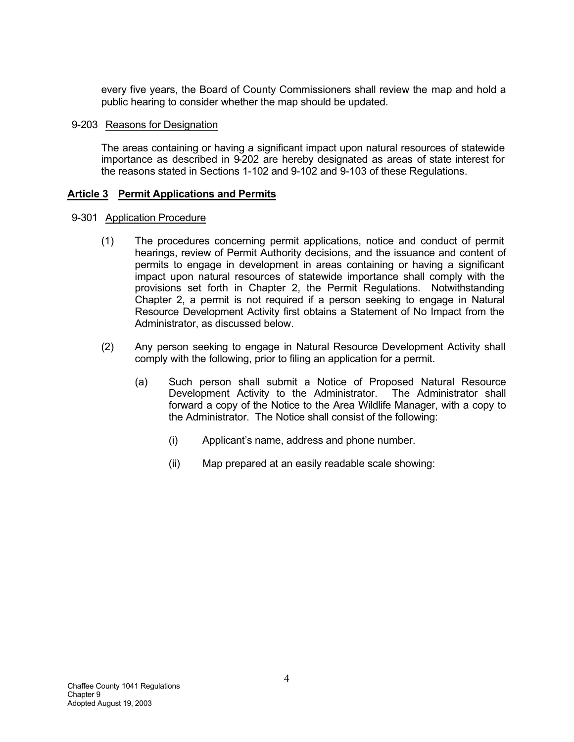every five years, the Board of County Commissioners shall review the map and hold a public hearing to consider whether the map should be updated.

#### 9-203 Reasons for Designation

The areas containing or having a significant impact upon natural resources of statewide importance as described in 9-202 are hereby designated as areas of state interest for the reasons stated in Sections 1-102 and 9-102 and 9-103 of these Regulations.

### **Article 3 Permit Applications and Permits**

#### 9-301 Application Procedure

- (1) The procedures concerning permit applications, notice and conduct of permit hearings, review of Permit Authority decisions, and the issuance and content of permits to engage in development in areas containing or having a significant impact upon natural resources of statewide importance shall comply with the provisions set forth in Chapter 2, the Permit Regulations. Notwithstanding Chapter 2, a permit is not required if a person seeking to engage in Natural Resource Development Activity first obtains a Statement of No Impact from the Administrator, as discussed below.
- (2) Any person seeking to engage in Natural Resource Development Activity shall comply with the following, prior to filing an application for a permit.
	- (a) Such person shall submit a Notice of Proposed Natural Resource Development Activity to the Administrator. The Administrator shall forward a copy of the Notice to the Area Wildlife Manager, with a copy to the Administrator. The Notice shall consist of the following:
		- (i) Applicant's name, address and phone number.
		- (ii) Map prepared at an easily readable scale showing: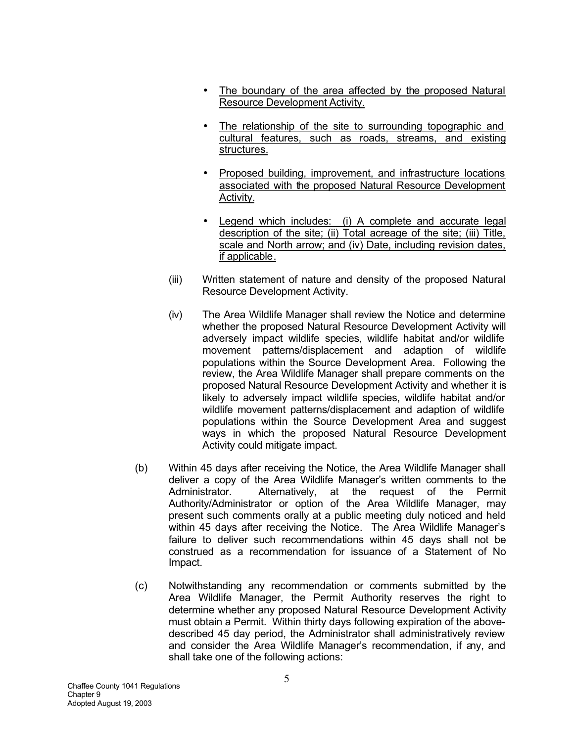- The boundary of the area affected by the proposed Natural Resource Development Activity.
- The relationship of the site to surrounding topographic and cultural features, such as roads, streams, and existing structures.
- Proposed building, improvement, and infrastructure locations associated with the proposed Natural Resource Development Activity.
- Legend which includes: (i) A complete and accurate legal description of the site; (ii) Total acreage of the site; (iii) Title, scale and North arrow; and (iv) Date, including revision dates, if applicable.
- (iii) Written statement of nature and density of the proposed Natural Resource Development Activity.
- (iv) The Area Wildlife Manager shall review the Notice and determine whether the proposed Natural Resource Development Activity will adversely impact wildlife species, wildlife habitat and/or wildlife movement patterns/displacement and adaption of wildlife populations within the Source Development Area. Following the review, the Area Wildlife Manager shall prepare comments on the proposed Natural Resource Development Activity and whether it is likely to adversely impact wildlife species, wildlife habitat and/or wildlife movement patterns/displacement and adaption of wildlife populations within the Source Development Area and suggest ways in which the proposed Natural Resource Development Activity could mitigate impact.
- (b) Within 45 days after receiving the Notice, the Area Wildlife Manager shall deliver a copy of the Area Wildlife Manager's written comments to the Administrator. Alternatively, at the request of the Permit Authority/Administrator or option of the Area Wildlife Manager, may present such comments orally at a public meeting duly noticed and held within 45 days after receiving the Notice. The Area Wildlife Manager's failure to deliver such recommendations within 45 days shall not be construed as a recommendation for issuance of a Statement of No Impact.
- (c) Notwithstanding any recommendation or comments submitted by the Area Wildlife Manager, the Permit Authority reserves the right to determine whether any proposed Natural Resource Development Activity must obtain a Permit. Within thirty days following expiration of the abovedescribed 45 day period, the Administrator shall administratively review and consider the Area Wildlife Manager's recommendation, if any, and shall take one of the following actions: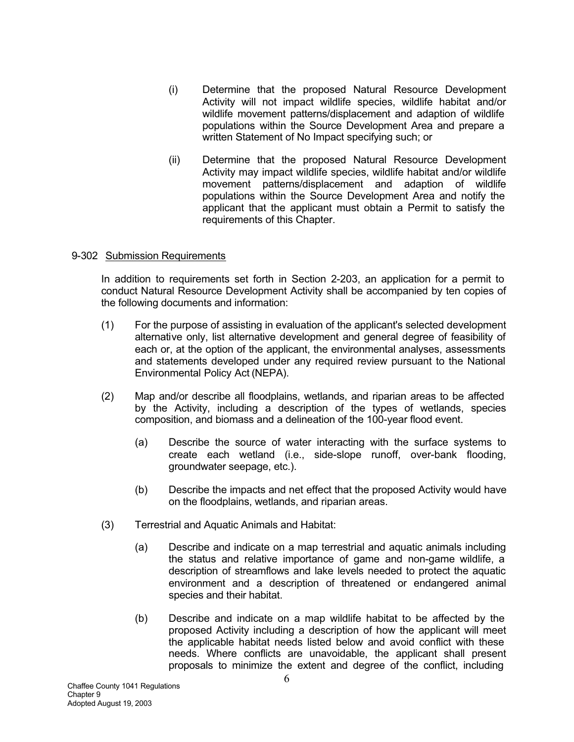- (i) Determine that the proposed Natural Resource Development Activity will not impact wildlife species, wildlife habitat and/or wildlife movement patterns/displacement and adaption of wildlife populations within the Source Development Area and prepare a written Statement of No Impact specifying such; or
- (ii) Determine that the proposed Natural Resource Development Activity may impact wildlife species, wildlife habitat and/or wildlife movement patterns/displacement and adaption of wildlife populations within the Source Development Area and notify the applicant that the applicant must obtain a Permit to satisfy the requirements of this Chapter.

### 9-302 Submission Requirements

In addition to requirements set forth in Section 2-203, an application for a permit to conduct Natural Resource Development Activity shall be accompanied by ten copies of the following documents and information:

- (1) For the purpose of assisting in evaluation of the applicant's selected development alternative only, list alternative development and general degree of feasibility of each or, at the option of the applicant, the environmental analyses, assessments and statements developed under any required review pursuant to the National Environmental Policy Act (NEPA).
- (2) Map and/or describe all floodplains, wetlands, and riparian areas to be affected by the Activity, including a description of the types of wetlands, species composition, and biomass and a delineation of the 100-year flood event.
	- (a) Describe the source of water interacting with the surface systems to create each wetland (i.e., side-slope runoff, over-bank flooding, groundwater seepage, etc.).
	- (b) Describe the impacts and net effect that the proposed Activity would have on the floodplains, wetlands, and riparian areas.
- (3) Terrestrial and Aquatic Animals and Habitat:
	- (a) Describe and indicate on a map terrestrial and aquatic animals including the status and relative importance of game and non-game wildlife, a description of streamflows and lake levels needed to protect the aquatic environment and a description of threatened or endangered animal species and their habitat.
	- (b) Describe and indicate on a map wildlife habitat to be affected by the proposed Activity including a description of how the applicant will meet the applicable habitat needs listed below and avoid conflict with these needs. Where conflicts are unavoidable, the applicant shall present proposals to minimize the extent and degree of the conflict, including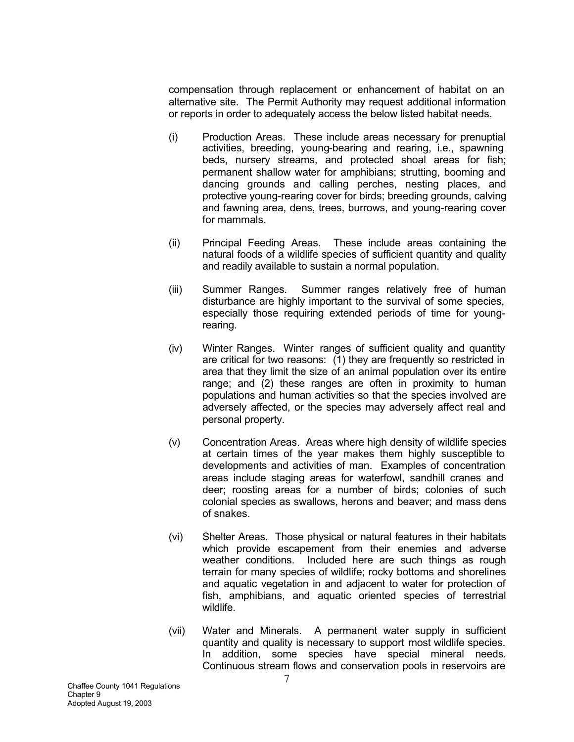compensation through replacement or enhancement of habitat on an alternative site. The Permit Authority may request additional information or reports in order to adequately access the below listed habitat needs.

- (i) Production Areas. These include areas necessary for prenuptial activities, breeding, young-bearing and rearing, i.e., spawning beds, nursery streams, and protected shoal areas for fish; permanent shallow water for amphibians; strutting, booming and dancing grounds and calling perches, nesting places, and protective young-rearing cover for birds; breeding grounds, calving and fawning area, dens, trees, burrows, and young-rearing cover for mammals.
- (ii) Principal Feeding Areas. These include areas containing the natural foods of a wildlife species of sufficient quantity and quality and readily available to sustain a normal population.
- (iii) Summer Ranges. Summer ranges relatively free of human disturbance are highly important to the survival of some species, especially those requiring extended periods of time for youngrearing.
- (iv) Winter Ranges. Winter ranges of sufficient quality and quantity are critical for two reasons: (1) they are frequently so restricted in area that they limit the size of an animal population over its entire range; and (2) these ranges are often in proximity to human populations and human activities so that the species involved are adversely affected, or the species may adversely affect real and personal property.
- (v) Concentration Areas. Areas where high density of wildlife species at certain times of the year makes them highly susceptible to developments and activities of man. Examples of concentration areas include staging areas for waterfowl, sandhill cranes and deer; roosting areas for a number of birds; colonies of such colonial species as swallows, herons and beaver; and mass dens of snakes.
- (vi) Shelter Areas. Those physical or natural features in their habitats which provide escapement from their enemies and adverse weather conditions. Included here are such things as rough terrain for many species of wildlife; rocky bottoms and shorelines and aquatic vegetation in and adjacent to water for protection of fish, amphibians, and aquatic oriented species of terrestrial wildlife.
- (vii) Water and Minerals. A permanent water supply in sufficient quantity and quality is necessary to support most wildlife species. In addition, some species have special mineral needs. Continuous stream flows and conservation pools in reservoirs are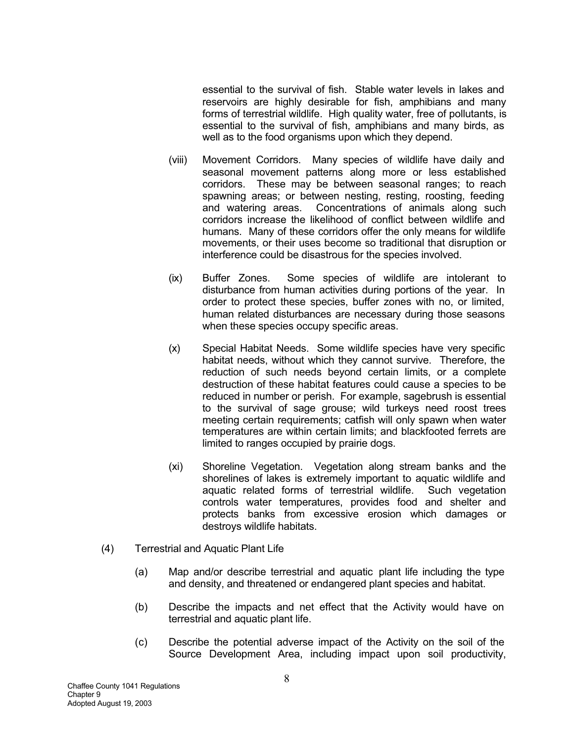essential to the survival of fish. Stable water levels in lakes and reservoirs are highly desirable for fish, amphibians and many forms of terrestrial wildlife. High quality water, free of pollutants, is essential to the survival of fish, amphibians and many birds, as well as to the food organisms upon which they depend.

- (viii) Movement Corridors. Many species of wildlife have daily and seasonal movement patterns along more or less established corridors. These may be between seasonal ranges; to reach spawning areas; or between nesting, resting, roosting, feeding and watering areas. Concentrations of animals along such corridors increase the likelihood of conflict between wildlife and humans. Many of these corridors offer the only means for wildlife movements, or their uses become so traditional that disruption or interference could be disastrous for the species involved.
- (ix) Buffer Zones. Some species of wildlife are intolerant to disturbance from human activities during portions of the year. In order to protect these species, buffer zones with no, or limited, human related disturbances are necessary during those seasons when these species occupy specific areas.
- (x) Special Habitat Needs. Some wildlife species have very specific habitat needs, without which they cannot survive. Therefore, the reduction of such needs beyond certain limits, or a complete destruction of these habitat features could cause a species to be reduced in number or perish. For example, sagebrush is essential to the survival of sage grouse; wild turkeys need roost trees meeting certain requirements; catfish will only spawn when water temperatures are within certain limits; and blackfooted ferrets are limited to ranges occupied by prairie dogs.
- (xi) Shoreline Vegetation. Vegetation along stream banks and the shorelines of lakes is extremely important to aquatic wildlife and aquatic related forms of terrestrial wildlife. Such vegetation controls water temperatures, provides food and shelter and protects banks from excessive erosion which damages or destroys wildlife habitats.
- (4) Terrestrial and Aquatic Plant Life
	- (a) Map and/or describe terrestrial and aquatic plant life including the type and density, and threatened or endangered plant species and habitat.
	- (b) Describe the impacts and net effect that the Activity would have on terrestrial and aquatic plant life.
	- (c) Describe the potential adverse impact of the Activity on the soil of the Source Development Area, including impact upon soil productivity,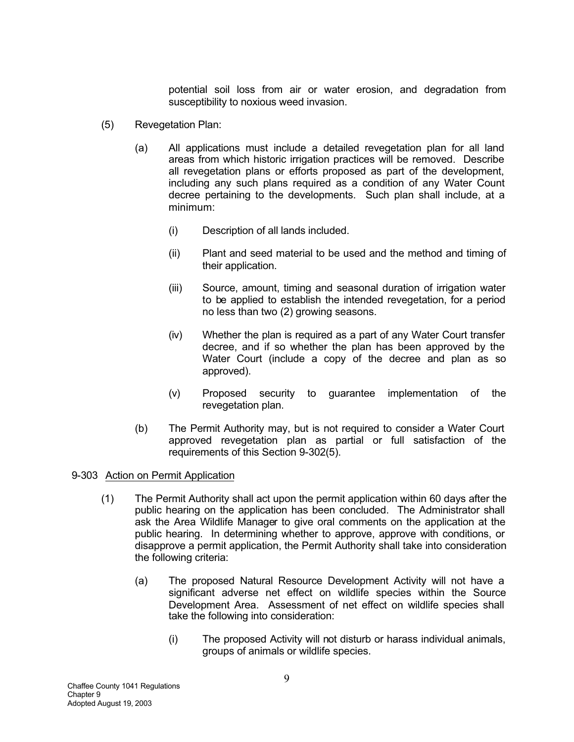potential soil loss from air or water erosion, and degradation from susceptibility to noxious weed invasion.

- (5) Revegetation Plan:
	- (a) All applications must include a detailed revegetation plan for all land areas from which historic irrigation practices will be removed. Describe all revegetation plans or efforts proposed as part of the development, including any such plans required as a condition of any Water Count decree pertaining to the developments. Such plan shall include, at a minimum:
		- (i) Description of all lands included.
		- (ii) Plant and seed material to be used and the method and timing of their application.
		- (iii) Source, amount, timing and seasonal duration of irrigation water to be applied to establish the intended revegetation, for a period no less than two (2) growing seasons.
		- (iv) Whether the plan is required as a part of any Water Court transfer decree, and if so whether the plan has been approved by the Water Court (include a copy of the decree and plan as so approved).
		- (v) Proposed security to guarantee implementation of the revegetation plan.
	- (b) The Permit Authority may, but is not required to consider a Water Court approved revegetation plan as partial or full satisfaction of the requirements of this Section 9-302(5).

#### 9-303 Action on Permit Application

- (1) The Permit Authority shall act upon the permit application within 60 days after the public hearing on the application has been concluded. The Administrator shall ask the Area Wildlife Manager to give oral comments on the application at the public hearing. In determining whether to approve, approve with conditions, or disapprove a permit application, the Permit Authority shall take into consideration the following criteria:
	- (a) The proposed Natural Resource Development Activity will not have a significant adverse net effect on wildlife species within the Source Development Area. Assessment of net effect on wildlife species shall take the following into consideration:
		- (i) The proposed Activity will not disturb or harass individual animals, groups of animals or wildlife species.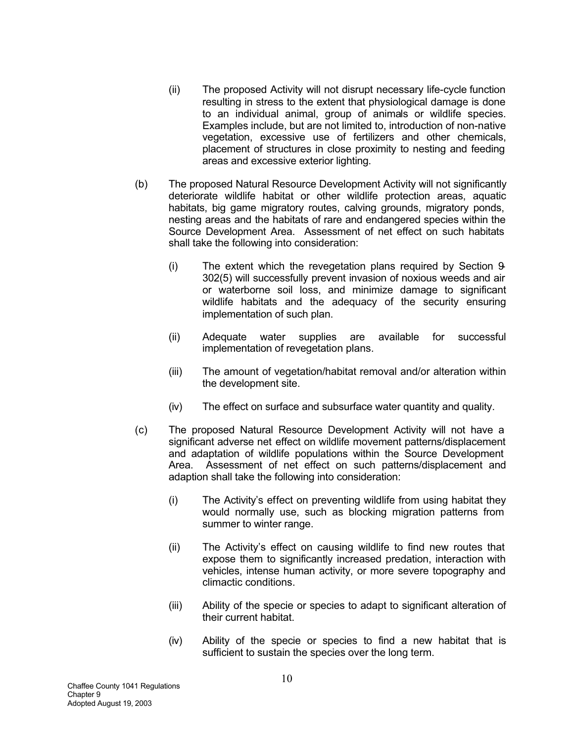- (ii) The proposed Activity will not disrupt necessary life-cycle function resulting in stress to the extent that physiological damage is done to an individual animal, group of animals or wildlife species. Examples include, but are not limited to, introduction of non-native vegetation, excessive use of fertilizers and other chemicals, placement of structures in close proximity to nesting and feeding areas and excessive exterior lighting.
- (b) The proposed Natural Resource Development Activity will not significantly deteriorate wildlife habitat or other wildlife protection areas, aquatic habitats, big game migratory routes, calving grounds, migratory ponds, nesting areas and the habitats of rare and endangered species within the Source Development Area. Assessment of net effect on such habitats shall take the following into consideration:
	- (i) The extent which the revegetation plans required by Section 9- 302(5) will successfully prevent invasion of noxious weeds and air or waterborne soil loss, and minimize damage to significant wildlife habitats and the adequacy of the security ensuring implementation of such plan.
	- (ii) Adequate water supplies are available for successful implementation of revegetation plans.
	- (iii) The amount of vegetation/habitat removal and/or alteration within the development site.
	- (iv) The effect on surface and subsurface water quantity and quality.
- (c) The proposed Natural Resource Development Activity will not have a significant adverse net effect on wildlife movement patterns/displacement and adaptation of wildlife populations within the Source Development Area. Assessment of net effect on such patterns/displacement and adaption shall take the following into consideration:
	- (i) The Activity's effect on preventing wildlife from using habitat they would normally use, such as blocking migration patterns from summer to winter range.
	- (ii) The Activity's effect on causing wildlife to find new routes that expose them to significantly increased predation, interaction with vehicles, intense human activity, or more severe topography and climactic conditions.
	- (iii) Ability of the specie or species to adapt to significant alteration of their current habitat.
	- (iv) Ability of the specie or species to find a new habitat that is sufficient to sustain the species over the long term.